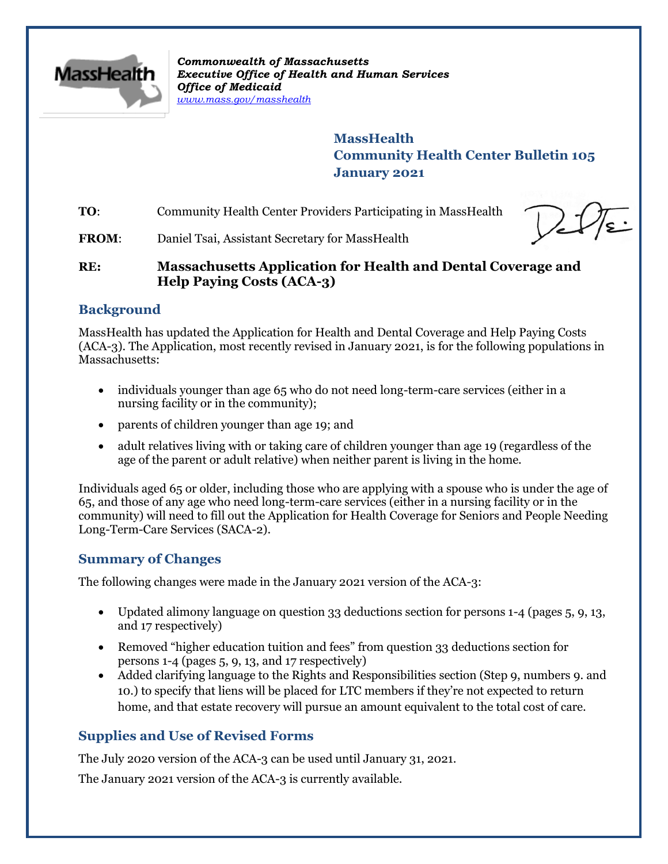

*Commonwealth of Massachusetts Executive Office of Health and Human Services Office of Medicaid [www.mass.gov/masshealth](http://www.mass.gov/masshealth)*

> **MassHealth Community Health Center Bulletin 105 January 2021**

**TO:** Community Health Center Providers Participating in MassHealth



**FROM:** Daniel Tsai, Assistant Secretary for MassHealth

## **RE: Massachusetts Application for Health and Dental Coverage and Help Paying Costs (ACA-3)**

## **Background**

MassHealth has updated the Application for Health and Dental Coverage and Help Paying Costs (ACA-3). The Application, most recently revised in January 2021, is for the following populations in Massachusetts:

- individuals younger than age 65 who do not need long-term-care services (either in a nursing facility or in the community);
- parents of children younger than age 19; and
- adult relatives living with or taking care of children younger than age 19 (regardless of the age of the parent or adult relative) when neither parent is living in the home.

Individuals aged 65 or older, including those who are applying with a spouse who is under the age of 65, and those of any age who need long-term-care services (either in a nursing facility or in the community) will need to fill out the Application for Health Coverage for Seniors and People Needing Long-Term-Care Services (SACA-2).

## **Summary of Changes**

The following changes were made in the January 2021 version of the ACA-3:

- Updated alimony language on question 33 deductions section for persons 1-4 (pages 5, 9, 13, and 17 respectively)
- Removed "higher education tuition and fees" from question 33 deductions section for persons 1-4 (pages 5, 9, 13, and 17 respectively)
- Added clarifying language to the Rights and Responsibilities section (Step 9, numbers 9. and 10.) to specify that liens will be placed for LTC members if they're not expected to return home, and that estate recovery will pursue an amount equivalent to the total cost of care.

# **Supplies and Use of Revised Forms**

The July 2020 version of the ACA-3 can be used until January 31, 2021.

The January 2021 version of the ACA-3 is currently available.